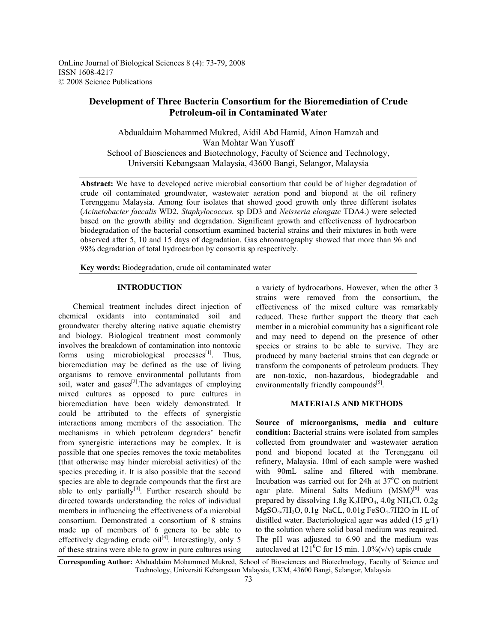OnLine Journal of Biological Sciences 8 (4): 73-79, 2008 ISSN 1608-4217 © 2008 Science Publications

# **Development of Three Bacteria Consortium for the Bioremediation of Crude Petroleum-oil in Contaminated Water**

Abdualdaim Mohammed Mukred, Aidil Abd Hamid, Ainon Hamzah and Wan Mohtar Wan Yusoff School of Biosciences and Biotechnology, Faculty of Science and Technology, Universiti Kebangsaan Malaysia, 43600 Bangi, Selangor, Malaysia

**Abstract:** We have to developed active microbial consortium that could be of higher degradation of crude oil contaminated groundwater, wastewater aeration pond and biopond at the oil refinery Terengganu Malaysia. Among four isolates that showed good growth only three different isolates (*Acinetobacter faecalis* WD2, *Staphylococcus.* sp DD3 and *Neisseria elongate* TDA4.) were selected based on the growth ability and degradation. Significant growth and effectiveness of hydrocarbon biodegradation of the bacterial consortium examined bacterial strains and their mixtures in both were observed after 5, 10 and 15 days of degradation. Gas chromatography showed that more than 96 and 98% degradation of total hydrocarbon by consortia sp respectively.

**Key words:** Biodegradation, crude oil contaminated water

# **INTRODUCTION**

 Chemical treatment includes direct injection of chemical oxidants into contaminated soil and groundwater thereby altering native aquatic chemistry and biology. Biological treatment most commonly involves the breakdown of contamination into nontoxic forms using microbiological processes $\begin{bmatrix} 1 \end{bmatrix}$ . Thus, bioremediation may be defined as the use of living organisms to remove environmental pollutants from soil, water and gases $^{[2]}$ . The advantages of employing mixed cultures as opposed to pure cultures in bioremediation have been widely demonstrated. It could be attributed to the effects of synergistic interactions among members of the association. The mechanisms in which petroleum degraders' benefit from synergistic interactions may be complex. It is possible that one species removes the toxic metabolites (that otherwise may hinder microbial activities) of the species preceding it. It is also possible that the second species are able to degrade compounds that the first are able to only partially $[3]$ . Further research should be directed towards understanding the roles of individual members in influencing the effectiveness of a microbial consortium. Demonstrated a consortium of 8 strains made up of members of 6 genera to be able to effectively degrading crude  $\text{oil}^{[4]}$ . Interestingly, only 5 of these strains were able to grow in pure cultures using

a variety of hydrocarbons. However, when the other 3 strains were removed from the consortium, the effectiveness of the mixed culture was remarkably reduced. These further support the theory that each member in a microbial community has a significant role and may need to depend on the presence of other species or strains to be able to survive. They are produced by many bacterial strains that can degrade or transform the components of petroleum products. They are non-toxic, non-hazardous, biodegradable and environmentally friendly compounds<sup>[5]</sup>.

### **MATERIALS AND METHODS**

**Source of microorganisms, media and culture condition:** Bacterial strains were isolated from samples collected from groundwater and wastewater aeration pond and biopond located at the Terengganu oil refinery, Malaysia. 10ml of each sample were washed with 90mL saline and filtered with membrane. Incubation was carried out for 24h at 37°C on nutrient agar plate. Mineral Salts Medium  $(MSM)^{[6]}$  was prepared by dissolving  $1.8g K<sub>2</sub>HPO<sub>4</sub>$ ,  $4.0g NH<sub>4</sub>Cl$ ,  $0.2g$ MgSO4**.**7H2O, 0.1g NaCL, 0.01g FeSO4.7H2O in 1L of distilled water. Bacteriological agar was added (15 g/1) to the solution where solid basal medium was required. The pH was adjusted to 6.90 and the medium was autoclaved at  $121^{\circ}$ C for 15 min.  $1.0\%$  (v/v) tapis crude

**Corresponding Author:** Abdualdaim Mohammed Mukred, School of Biosciences and Biotechnology, Faculty of Science and Technology, Universiti Kebangsaan Malaysia, UKM, 43600 Bangi, Selangor, Malaysia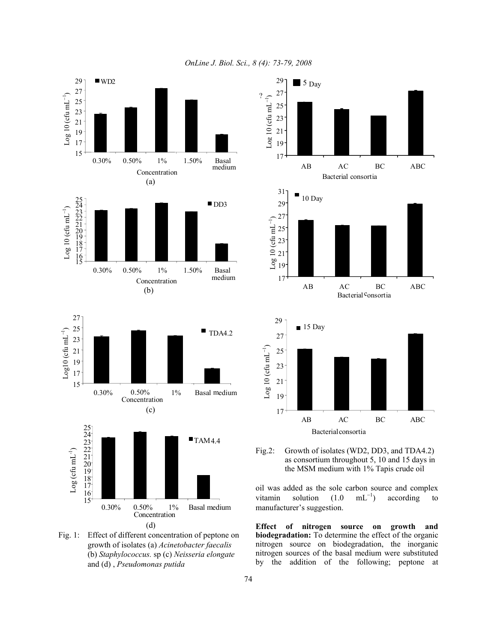*OnLine J. Biol. Sci., 8 (4): 73-79, 2008*



Fig. 1: Effect of different concentration of peptone on growth of isolates (a) *Acinetobacter faecalis*  (b) *Staphylococcus.* sp (c) *Neisseria elongate* and (d) , *Pseudomonas putida* 





oil was added as the sole carbon source and complex vitamin solution  $(1.0 \text{ mL}^{-1})$ ) according to manufacturer's suggestion.

**Effect of nitrogen source on growth and biodegradation:** To determine the effect of the organic nitrogen source on biodegradation, the inorganic nitrogen sources of the basal medium were substituted by the addition of the following; peptone at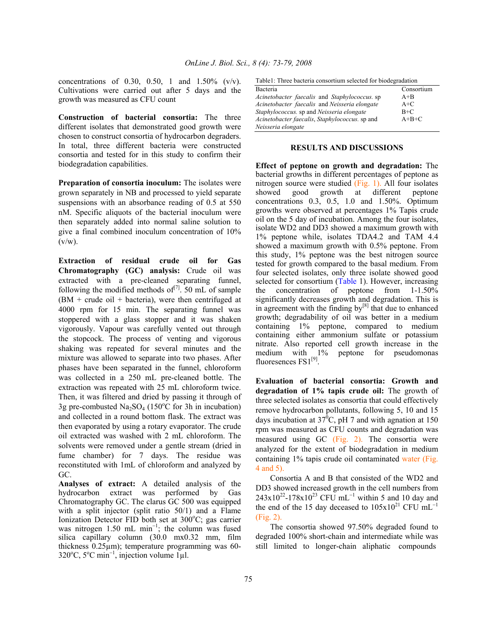concentrations of 0.30, 0.50, 1 and  $1.50\%$  (v/v). Cultivations were carried out after 5 days and the growth was measured as CFU count

**Construction of bacterial consortia:** The three different isolates that demonstrated good growth were chosen to construct consortia of hydrocarbon degraders. In total, three different bacteria were constructed consortia and tested for in this study to confirm their biodegradation capabilities.

**Preparation of consortia inoculum:** The isolates were grown separately in NB and processed to yield separate suspensions with an absorbance reading of 0.5 at 550 nM. Specific aliquots of the bacterial inoculum were then separately added into normal saline solution to give a final combined inoculum concentration of 10%  $(v/w)$ .

**Extraction of residual crude oil for Gas Chromatography (GC) analysis:** Crude oil was extracted with a pre-cleaned separating funnel, following the modified methods of $^{[7]}$ . 50 mL of sample  $(BM + crude oil + bacteria)$ , were then centrifuged at 4000 rpm for 15 min. The separating funnel was stoppered with a glass stopper and it was shaken vigorously. Vapour was carefully vented out through the stopcock. The process of venting and vigorous shaking was repeated for several minutes and the mixture was allowed to separate into two phases. After phases have been separated in the funnel, chloroform was collected in a 250 mL pre-cleaned bottle. The extraction was repeated with 25 mL chloroform twice. Then, it was filtered and dried by passing it through of 3g pre-combusted  $Na<sub>2</sub>SO<sub>4</sub>$  (150°C for 3h in incubation) and collected in a round bottom flask. The extract was then evaporated by using a rotary evaporator. The crude oil extracted was washed with 2 mL chloroform. The solvents were removed under a gentle stream (dried in fume chamber) for 7 days. The residue was reconstituted with 1mL of chloroform and analyzed by GC.

**Analyses of extract:** A detailed analysis of the hydrocarbon extract was performed by Gas Chromatography GC. The clarus GC 500 was equipped with a split injector (split ratio 50/1) and a Flame Ionization Detector FID both set at  $300^{\circ}$ C; gas carrier was nitrogen 1.50 mL min<sup>-1</sup>; the column was fused silica capillary column (30.0 mx0.32 mm, film thickness 0.25µm); temperature programming was 60-  $320^{\circ}$ C, 5<sup>o</sup>C min<sup>-1</sup>, injection volume 1µl.

|  |  | Table1: Three bacteria consortium selected for biodegradation |  |
|--|--|---------------------------------------------------------------|--|
|  |  |                                                               |  |
|  |  |                                                               |  |

| Bacteria                                       | Consortium |  |  |  |
|------------------------------------------------|------------|--|--|--|
| Acinetobacter faecalis and Staphylococcus. sp  | $A + B$    |  |  |  |
| Acinetobacter faecalis and Neisseria elongate  | $A+C$      |  |  |  |
| Staphylococcus. sp and Neisseria elongate      | B+C        |  |  |  |
| Acinetobacter faecalis, Staphylococcus. sp and | $A+B+C$    |  |  |  |
| Neisseria elongate                             |            |  |  |  |

#### **RESULTS AND DISCUSSIONS**

**Effect of peptone on growth and degradation:** The bacterial growths in different percentages of peptone as nitrogen source were studied (Fig. 1). All four isolates showed good growth at different peptone concentrations 0.3, 0.5, 1.0 and 1.50%. Optimum growths were observed at percentages 1% Tapis crude oil on the 5 day of incubation. Among the four isolates, isolate WD2 and DD3 showed a maximum growth with 1% peptone while, isolates TDA4.2 and TAM 4.4 showed a maximum growth with 0.5% peptone. From this study, 1% peptone was the best nitrogen source tested for growth compared to the basal medium. From four selected isolates, only three isolate showed good selected for consortium (Table 1). However, increasing the concentration of peptone from 1-1.50% significantly decreases growth and degradation. This is in agreement with the finding  $by<sup>[8]</sup>$  that due to enhanced growth; degradability of oil was better in a medium containing 1% peptone, compared to medium containing either ammonium sulfate or potassium nitrate. Also reported cell growth increase in the medium with 1% peptone for pseudomonas fluoresences FS1<sup>[9]</sup>.

**Evaluation of bacterial consortia: Growth and degradation of 1% tapis crude oil:** The growth of three selected isolates as consortia that could effectively remove hydrocarbon pollutants, following 5, 10 and 15 days incubation at  $37^{\circ}$ C, pH 7 and with agnation at 150 rpm was measured as CFU counts and degradation was measured using GC (Fig. 2). The consortia were analyzed for the extent of biodegradation in medium containing 1% tapis crude oil contaminated water (Fig. 4 and 5).

 Consortia A and B that consisted of the WD2 and DD3 showed increased growth in the cell numbers from  $243x10^{22}$ -178x10<sup>23</sup> CFU mL<sup>-1</sup> within 5 and 10 day and the end of the 15 day deceased to  $105x10^{21}$  CFU mL<sup>-1</sup> (Fig. 2).

 The consortia showed 97.50% degraded found to degraded 100% short-chain and intermediate while was still limited to longer-chain aliphatic compounds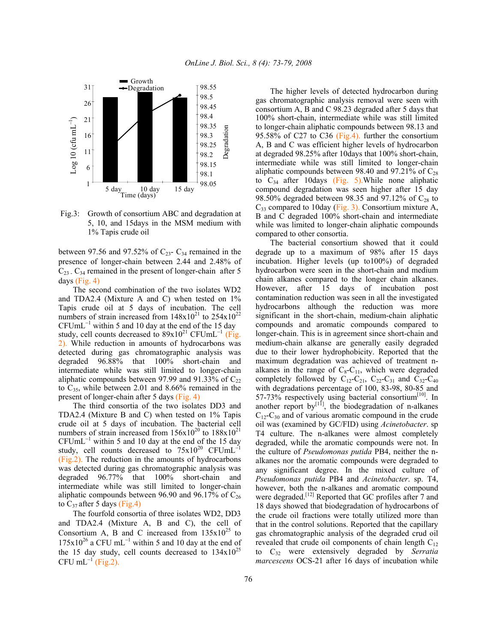

 Fig.3: Growth of consortium ABC and degradation at 5, 10, and 15days in the MSM medium with 1% Tapis crude oil

between 97.56 and 97.52% of  $C_{23}$ -  $C_{34}$  remained in the presence of longer-chain between 2.44 and 2.48% of  $C_{23}$ .  $C_{34}$  remained in the present of longer-chain after 5 days (Fig. 4)

 The second combination of the two isolates WD2 and TDA2.4 (Mixture A and C) when tested on 1% Tapis crude oil at 5 days of incubation. The cell numbers of strain increased from  $148x10^{21}$  to  $254x10^{22}$  $CFUmL^{-1}$  within 5 and 10 day at the end of the 15 day study, cell counts decreased to  $89x10^{21}$  CFUmL<sup>-1</sup> (Fig. 2). While reduction in amounts of hydrocarbons was detected during gas chromatographic analysis was degraded 96.88% that 100% short-chain and intermediate while was still limited to longer-chain aliphatic compounds between 97.99 and 91.33% of  $C_{22}$ to  $C_{35}$ , while between 2.01 and 8.66% remained in the present of longer-chain after 5 days (Fig. 4)

 The third consortia of the two isolates DD3 and TDA2.4 (Mixture B and C) when tested on 1% Tapis crude oil at 5 days of incubation. The bacterial cell numbers of strain increased from  $156x10^{20}$  to  $188x10^{21}$  $CFUmL^{-1}$  within 5 and 10 day at the end of the 15 day study, cell counts decreased to  $75x10^{20}$  CFUmL<sup>-1</sup> (Fig.2). The reduction in the amounts of hydrocarbons was detected during gas chromatographic analysis was degraded 96.77% that 100% short-chain and intermediate while was still limited to longer-chain aliphatic compounds between 96.90 and 96.17% of  $C_{26}$ to  $C_{37}$  after 5 days (Fig.4)

 The fourfold consortia of three isolates WD2, DD3 and TDA2.4 (Mixture A, B and C), the cell of Consortium A, B and C increased from  $135x10^{25}$  to  $175x10^{26}$  a CFU mL<sup>-1</sup> within 5 and 10 day at the end of the 15 day study, cell counts decreased to  $134x10^{25}$  $CFU mL^{-1}$  (Fig.2).

 The higher levels of detected hydrocarbon during gas chromatographic analysis removal were seen with consortium A, B and C 98.23 degraded after 5 days that 100% short-chain, intermediate while was still limited to longer-chain aliphatic compounds between 98.13 and 95.58% of C27 to C36 (Fig.4). further the consortium A, B and C was efficient higher levels of hydrocarbon at degraded 98.25% after 10days that 100% short-chain, intermediate while was still limited to longer-chain aliphatic compounds between 98.40 and 97.21% of  $C_{28}$ to  $C_{34}$  after 10days (Fig. 5). While none aliphatic compound degradation was seen higher after 15 day 98.50% degraded between 98.35 and 97.12% of  $C_{28}$  to  $C_{33}$  compared to 10day (Fig. 3). Consortium mixture A, B and C degraded 100% short-chain and intermediate while was limited to longer-chain aliphatic compounds compared to other consortia.

 The bacterial consortium showed that it could degrade up to a maximum of 98% after 15 days incubation. Higher levels (up to100%) of degraded hydrocarbon were seen in the short-chain and medium chain alkanes compared to the longer chain alkanes. However, after 15 days of incubation post contamination reduction was seen in all the investigated hydrocarbons although the reduction was more significant in the short-chain, medium-chain aliphatic compounds and aromatic compounds compared to longer-chain. This is in agreement since short-chain and medium-chain alkanse are generally easily degraded due to their lower hydrophobicity. Reported that the maximum degradation was achieved of treatment nalkanes in the range of  $C_8-C_{11}$ , which were degraded completely followed by  $C_{12}-C_{21}$ ,  $C_{22}-C_{31}$  and  $C_{32}-C_{40}$ with degradations percentage of 100, 83-98, 80-85 and 57-73% respectively using bacterial consortium<sup>[10]</sup>. In another report by $\left[11\right]$ , the biodegradation of n-alkanes  $C_{12}$ -C<sub>30</sub> and of various aromatic compound in the crude oil was (examined by GC/FID) using *Acinetobacter*. sp T4 culture. The n-alkanes were almost completely degraded, while the aromatic compounds were not. In the culture of *Pseudomonas putida* PB4, neither the nalkanes nor the aromatic compounds were degraded to any significant degree. In the mixed culture of *Pseudomonas putida* PB4 and *Acinetobacter*. sp. T4, however, both the n-alkanes and aromatic compound were degraded.<sup>[12]</sup> Reported that GC profiles after 7 and 18 days showed that biodegradation of hydrocarbons of the crude oil fractions were totally utilized more than that in the control solutions. Reported that the capillary gas chromatographic analysis of the degraded crud oil revealed that crude oil components of chain length  $C_{12}$ to C32 were extensively degraded by *Serratia marcescens* OCS-21 after 16 days of incubation while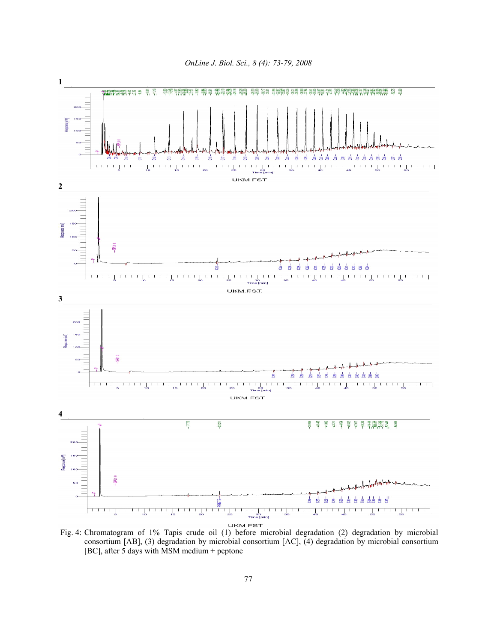



Fig. 4: Chromatogram of 1% Tapis crude oil (1) before microbial degradation (2) degradation by microbial consortium [AB], (3) degradation by microbial consortium [AC], (4) degradation by microbial consortium [BC], after 5 days with MSM medium + peptone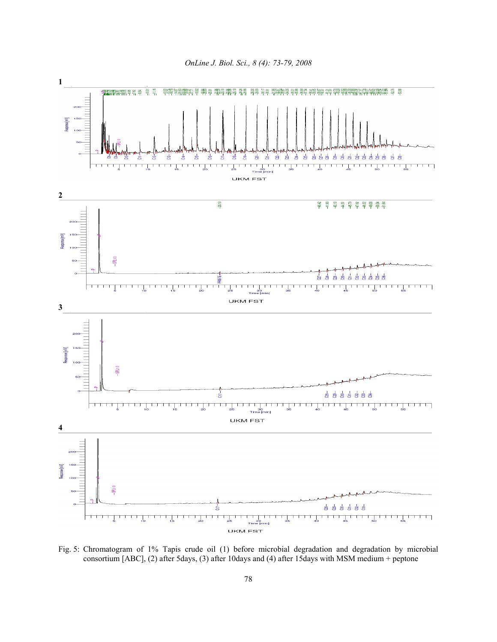

Fig. 5: Chromatogram of 1% Tapis crude oil (1) before microbial degradation and degradation by microbial consortium [ABC], (2) after 5days, (3) after 10days and (4) after 15days with MSM medium + peptone